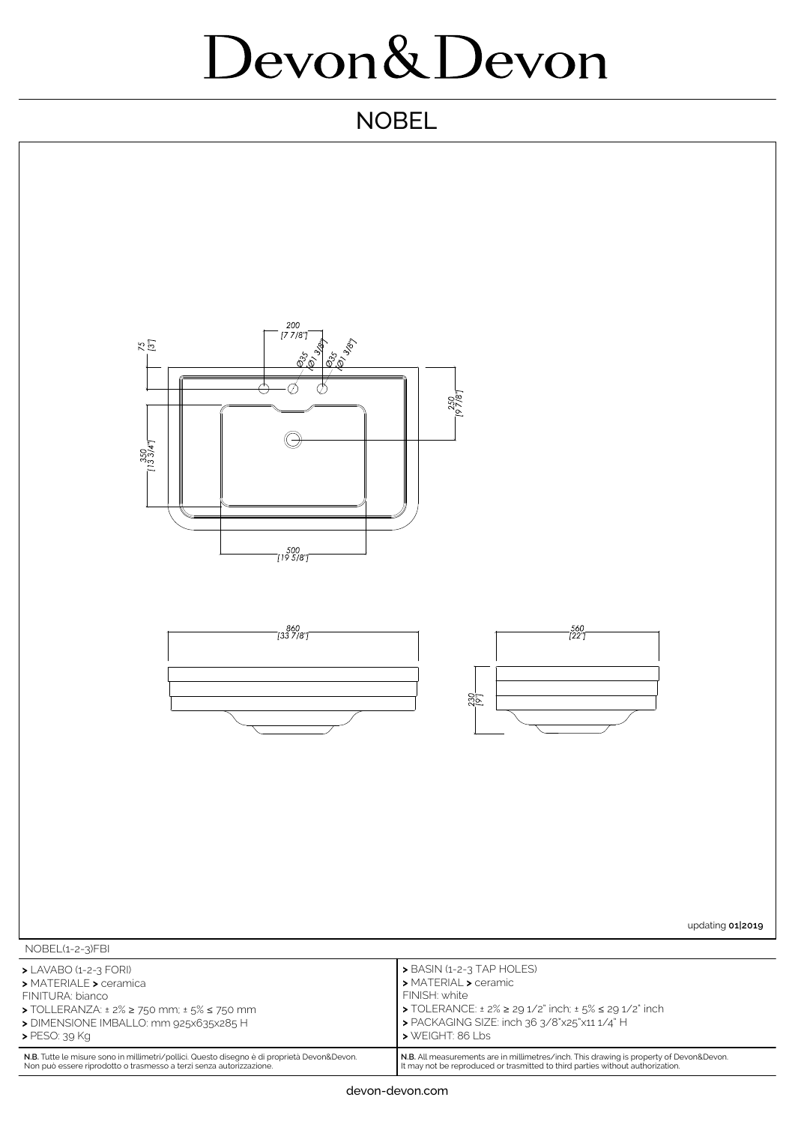## Devon&Devon

## **NOBEL**